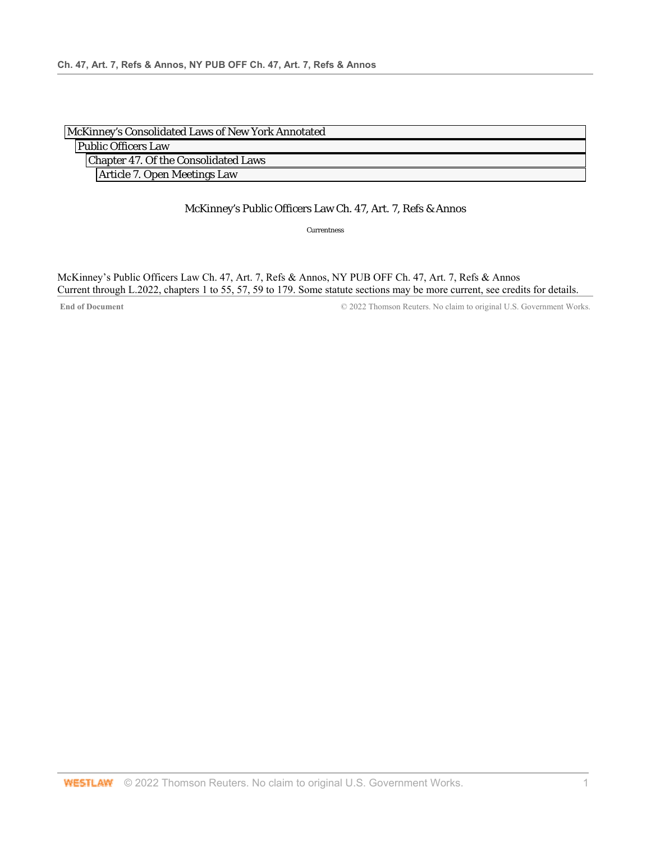| McKinney's Consolidated Laws of New York Annotated |  |
|----------------------------------------------------|--|
| <b>Public Officers Law</b>                         |  |
| Chapter 47. Of the Consolidated Laws               |  |
| Article 7. Open Meetings Law                       |  |

## McKinney's Public Officers Law Ch. 47, Art. 7, Refs & Annos

Currentness

McKinney's Public Officers Law Ch. 47, Art. 7, Refs & Annos, NY PUB OFF Ch. 47, Art. 7, Refs & Annos Current through L.2022, chapters 1 to 55, 57, 59 to 179. Some statute sections may be more current, see credits for details.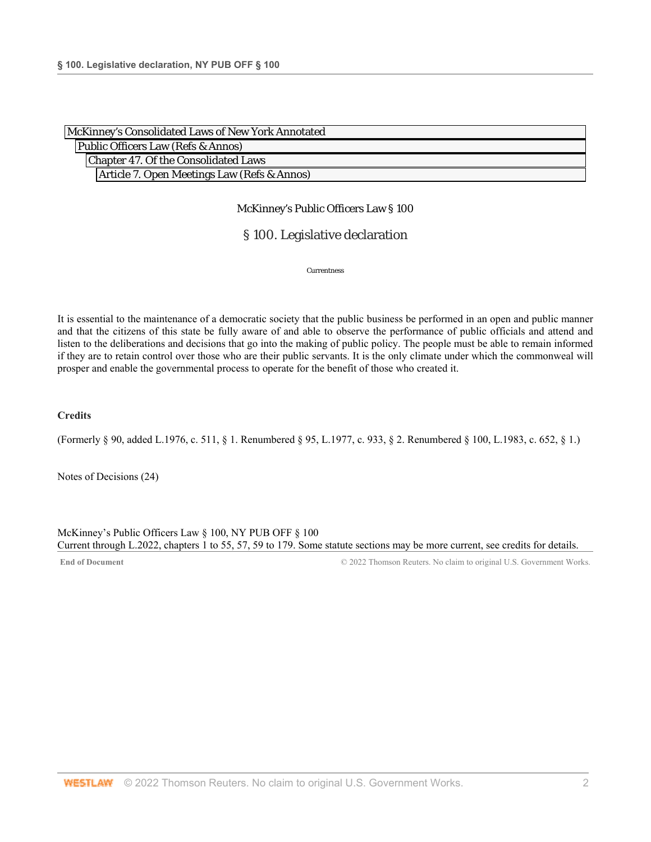| McKinney's Consolidated Laws of New York Annotated |  |
|----------------------------------------------------|--|
| Public Officers Law (Refs & Annos)                 |  |
| Chapter 47. Of the Consolidated Laws               |  |
| Article 7. Open Meetings Law (Refs & Annos)        |  |

## § 100. Legislative declaration

Currentness

It is essential to the maintenance of a democratic society that the public business be performed in an open and public manner and that the citizens of this state be fully aware of and able to observe the performance of public officials and attend and listen to the deliberations and decisions that go into the making of public policy. The people must be able to remain informed if they are to retain control over those who are their public servants. It is the only climate under which the commonweal will prosper and enable the governmental process to operate for the benefit of those who created it.

## **Credits**

(Formerly § 90, added L.1976, c. 511, § 1. Renumbered § 95, L.1977, c. 933, § 2. Renumbered § 100, L.1983, c. 652, § 1.)

Notes of Decisions (24)

McKinney's Public Officers Law § 100, NY PUB OFF § 100 Current through L.2022, chapters 1 to 55, 57, 59 to 179. Some statute sections may be more current, see credits for details.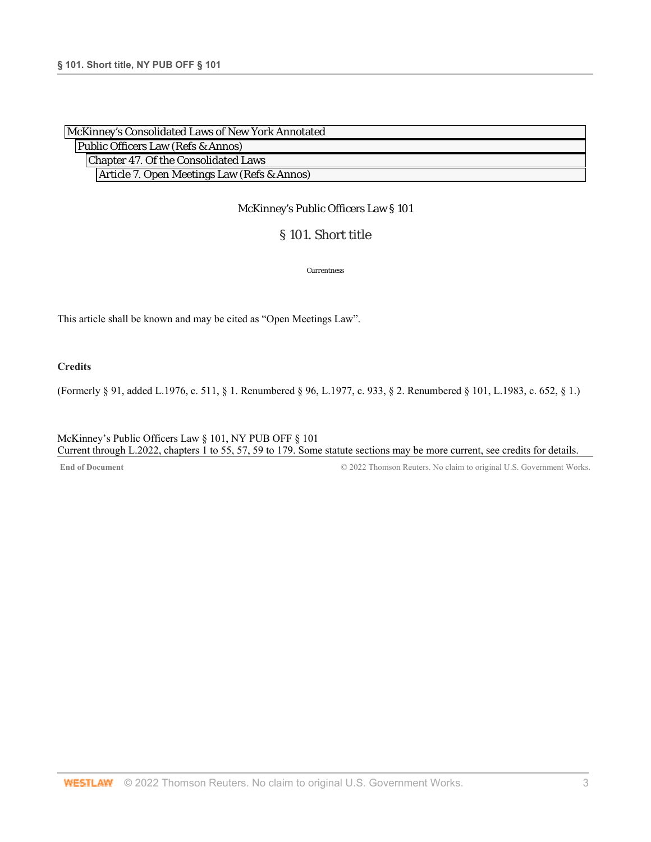| McKinney's Consolidated Laws of New York Annotated |
|----------------------------------------------------|
| Public Officers Law (Refs & Annos)                 |
| Chapter 47. Of the Consolidated Laws               |
| Article 7. Open Meetings Law (Refs & Annos)        |

# § 101. Short title

Currentness

This article shall be known and may be cited as "Open Meetings Law".

**Credits** 

(Formerly § 91, added L.1976, c. 511, § 1. Renumbered § 96, L.1977, c. 933, § 2. Renumbered § 101, L.1983, c. 652, § 1.)

McKinney's Public Officers Law § 101, NY PUB OFF § 101 Current through L.2022, chapters 1 to 55, 57, 59 to 179. Some statute sections may be more current, see credits for details.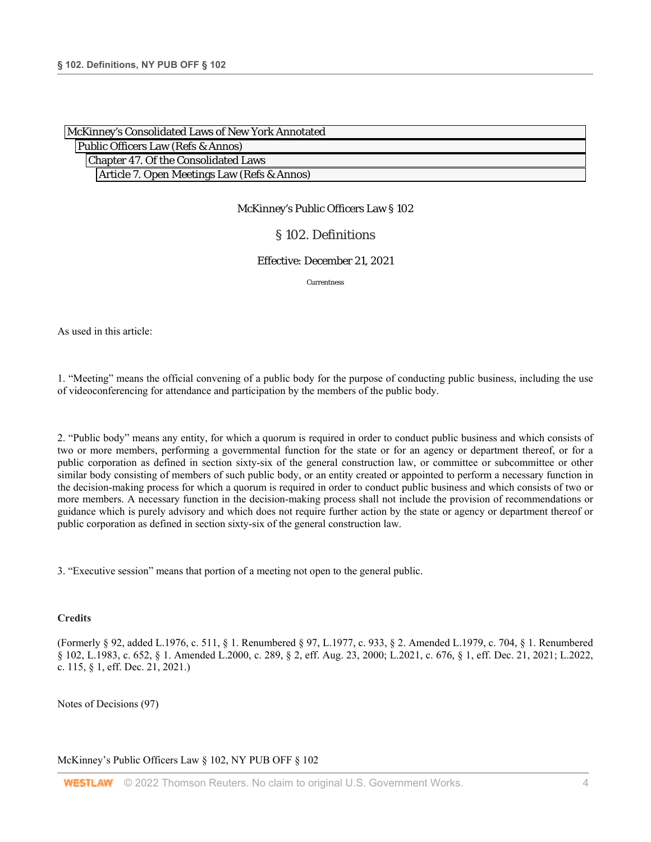| McKinney's Consolidated Laws of New York Annotated |
|----------------------------------------------------|
| Public Officers Law (Refs & Annos)                 |
| Chapter 47. Of the Consolidated Laws               |
| Article 7. Open Meetings Law (Refs & Annos)        |

## § 102. Definitions

#### Effective: December 21, 2021

Currentness

As used in this article:

1. "Meeting" means the official convening of a public body for the purpose of conducting public business, including the use of videoconferencing for attendance and participation by the members of the public body.

2. "Public body" means any entity, for which a quorum is required in order to conduct public business and which consists of two or more members, performing a governmental function for the state or for an agency or department thereof, or for a public corporation as defined in section sixty-six of the general construction law, or committee or subcommittee or other similar body consisting of members of such public body, or an entity created or appointed to perform a necessary function in the decision-making process for which a quorum is required in order to conduct public business and which consists of two or more members. A necessary function in the decision-making process shall not include the provision of recommendations or guidance which is purely advisory and which does not require further action by the state or agency or department thereof or public corporation as defined in section sixty-six of the general construction law.

3. "Executive session" means that portion of a meeting not open to the general public.

#### **Credits**

(Formerly § 92, added L.1976, c. 511, § 1. Renumbered § 97, L.1977, c. 933, § 2. Amended L.1979, c. 704, § 1. Renumbered § 102, L.1983, c. 652, § 1. Amended L.2000, c. 289, § 2, eff. Aug. 23, 2000; L.2021, c. 676, § 1, eff. Dec. 21, 2021; L.2022, c. 115, § 1, eff. Dec. 21, 2021.)

Notes of Decisions (97)

McKinney's Public Officers Law § 102, NY PUB OFF § 102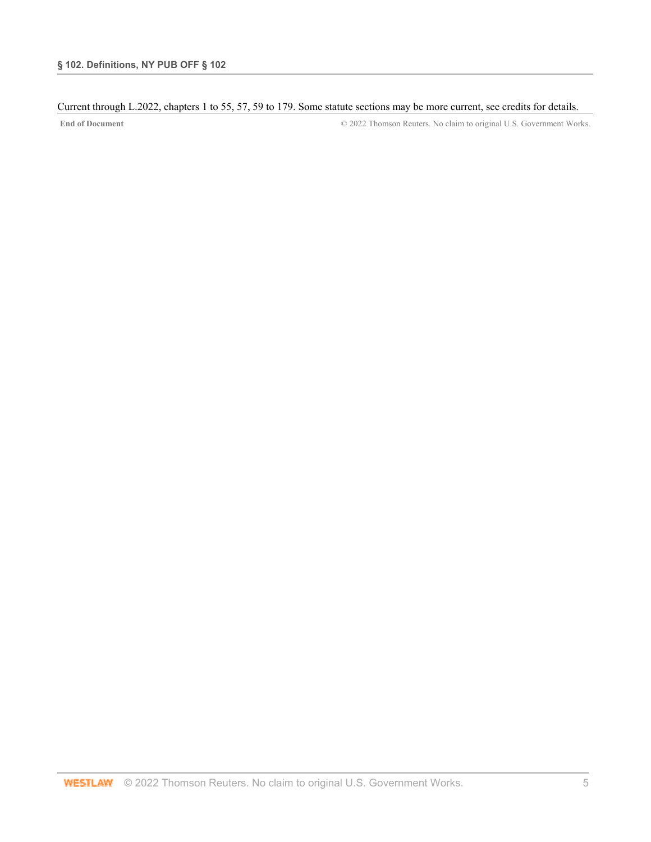## Current through L.2022, chapters 1 to 55, 57, 59 to 179. Some statute sections may be more current, see credits for details.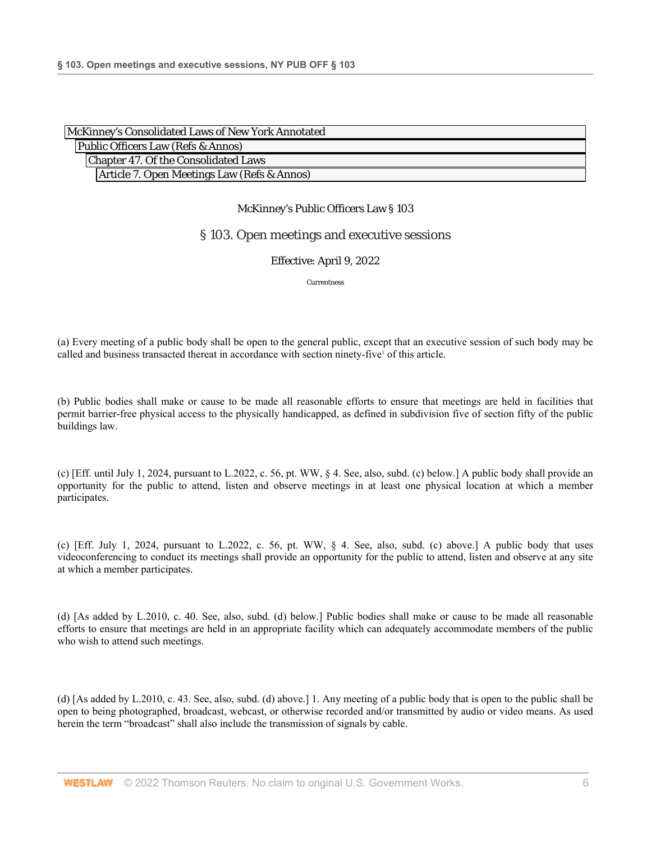| McKinney's Consolidated Laws of New York Annotated |
|----------------------------------------------------|
| Public Officers Law (Refs & Annos)                 |
| Chapter 47. Of the Consolidated Laws               |
| Article 7. Open Meetings Law (Refs & Annos)        |

## § 103. Open meetings and executive sessions

## Effective: April 9, 2022

Currentness

(a) Every meeting of a public body shall be open to the general public, except that an executive session of such body may be called and business transacted thereat in accordance with section ninety-five<sup>1</sup> of this article.

(b) Public bodies shall make or cause to be made all reasonable efforts to ensure that meetings are held in facilities that permit barrier-free physical access to the physically handicapped, as defined in subdivision five of section fifty of the public buildings law.

(c) [Eff. until July 1, 2024, pursuant to L.2022, c. 56, pt. WW, § 4. See, also, subd. (c) below.] A public body shall provide an opportunity for the public to attend, listen and observe meetings in at least one physical location at which a member participates.

(c) [Eff. July 1, 2024, pursuant to L.2022, c. 56, pt. WW, § 4. See, also, subd. (c) above.] A public body that uses videoconferencing to conduct its meetings shall provide an opportunity for the public to attend, listen and observe at any site at which a member participates.

(d) [As added by L.2010, c. 40. See, also, subd. (d) below.] Public bodies shall make or cause to be made all reasonable efforts to ensure that meetings are held in an appropriate facility which can adequately accommodate members of the public who wish to attend such meetings.

(d) [As added by L.2010, c. 43. See, also, subd. (d) above.] 1. Any meeting of a public body that is open to the public shall be open to being photographed, broadcast, webcast, or otherwise recorded and/or transmitted by audio or video means. As used herein the term "broadcast" shall also include the transmission of signals by cable.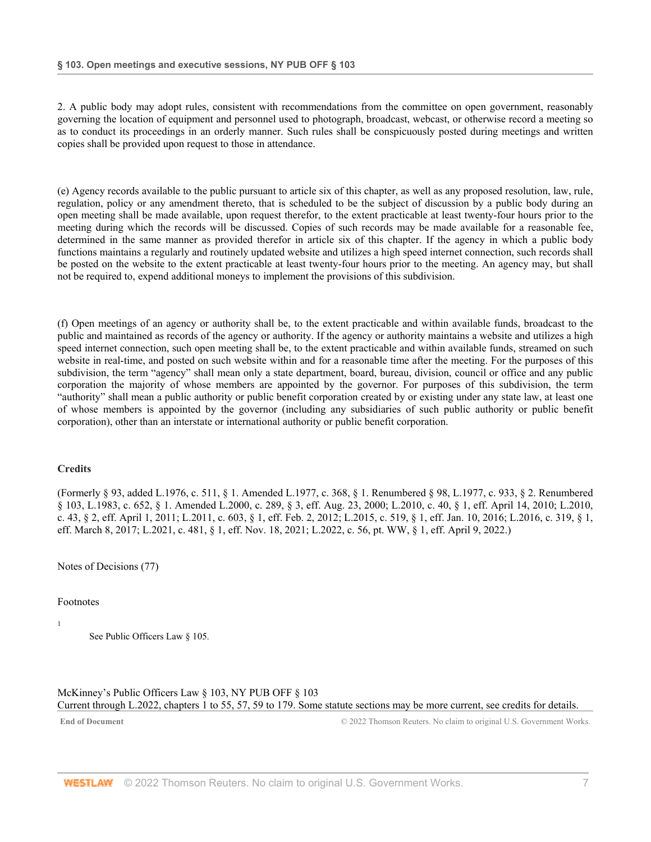2. A public body may adopt rules, consistent with recommendations from the committee on open government, reasonably governing the location of equipment and personnel used to photograph, broadcast, webcast, or otherwise record a meeting so as to conduct its proceedings in an orderly manner. Such rules shall be conspicuously posted during meetings and written copies shall be provided upon request to those in attendance.

(e) Agency records available to the public pursuant to article six of this chapter, as well as any proposed resolution, law, rule, regulation, policy or any amendment thereto, that is scheduled to be the subject of discussion by a public body during an open meeting shall be made available, upon request therefor, to the extent practicable at least twenty-four hours prior to the meeting during which the records will be discussed. Copies of such records may be made available for a reasonable fee, determined in the same manner as provided therefor in article six of this chapter. If the agency in which a public body functions maintains a regularly and routinely updated website and utilizes a high speed internet connection, such records shall be posted on the website to the extent practicable at least twenty-four hours prior to the meeting. An agency may, but shall not be required to, expend additional moneys to implement the provisions of this subdivision.

(f) Open meetings of an agency or authority shall be, to the extent practicable and within available funds, broadcast to the public and maintained as records of the agency or authority. If the agency or authority maintains a website and utilizes a high speed internet connection, such open meeting shall be, to the extent practicable and within available funds, streamed on such website in real-time, and posted on such website within and for a reasonable time after the meeting. For the purposes of this subdivision, the term "agency" shall mean only a state department, board, bureau, division, council or office and any public corporation the majority of whose members are appointed by the governor. For purposes of this subdivision, the term "authority" shall mean a public authority or public benefit corporation created by or existing under any state law, at least one of whose members is appointed by the governor (including any subsidiaries of such public authority or public benefit corporation), other than an interstate or international authority or public benefit corporation.

## **Credits**

(Formerly § 93, added L.1976, c. 511, § 1. Amended L.1977, c. 368, § 1. Renumbered § 98, L.1977, c. 933, § 2. Renumbered § 103, L.1983, c. 652, § 1. Amended L.2000, c. 289, § 3, eff. Aug. 23, 2000; L.2010, c. 40, § 1, eff. April 14, 2010; L.2010, c. 43, § 2, eff. April 1, 2011; L.2011, c. 603, § 1, eff. Feb. 2, 2012; L.2015, c. 519, § 1, eff. Jan. 10, 2016; L.2016, c. 319, § 1, eff. March 8, 2017; L.2021, c. 481, § 1, eff. Nov. 18, 2021; L.2022, c. 56, pt. WW, § 1, eff. April 9, 2022.)

Notes of Decisions (77)

## Footnotes

1

See Public Officers Law § 105.

McKinney's Public Officers Law § 103, NY PUB OFF § 103 Current through L.2022, chapters 1 to 55, 57, 59 to 179. Some statute sections may be more current, see credits for details.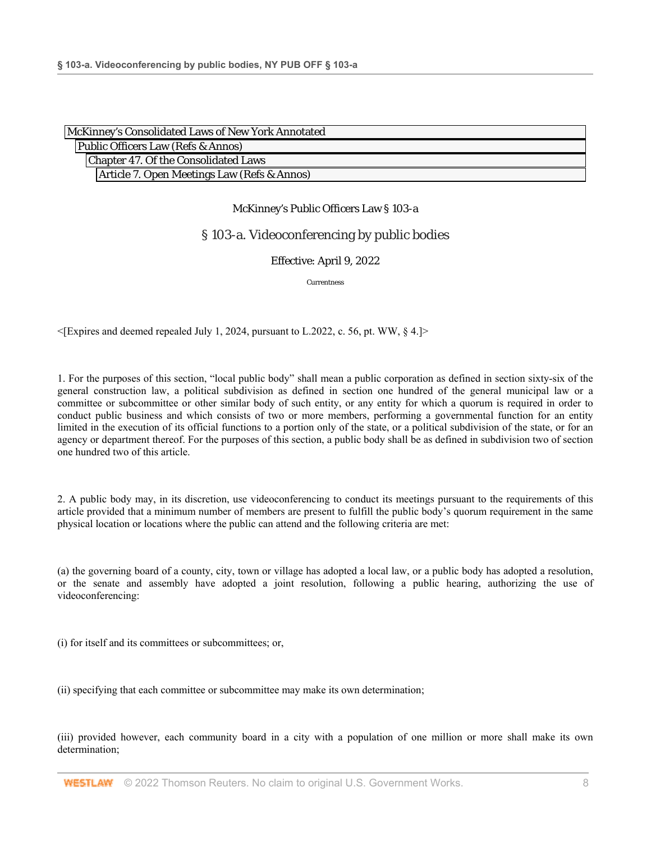| McKinney's Consolidated Laws of New York Annotated |
|----------------------------------------------------|
| Public Officers Law (Refs & Annos)                 |
| Chapter 47. Of the Consolidated Laws               |
| Article 7. Open Meetings Law (Refs & Annos)        |

## § 103-a. Videoconferencing by public bodies

## Effective: April 9, 2022

Currentness

 $\leq$ [Expires and deemed repealed July 1, 2024, pursuant to L.2022, c. 56, pt. WW, § 4.]>

1. For the purposes of this section, "local public body" shall mean a public corporation as defined in section sixty-six of the general construction law, a political subdivision as defined in section one hundred of the general municipal law or a committee or subcommittee or other similar body of such entity, or any entity for which a quorum is required in order to conduct public business and which consists of two or more members, performing a governmental function for an entity limited in the execution of its official functions to a portion only of the state, or a political subdivision of the state, or for an agency or department thereof. For the purposes of this section, a public body shall be as defined in subdivision two of section one hundred two of this article.

2. A public body may, in its discretion, use videoconferencing to conduct its meetings pursuant to the requirements of this article provided that a minimum number of members are present to fulfill the public body's quorum requirement in the same physical location or locations where the public can attend and the following criteria are met:

(a) the governing board of a county, city, town or village has adopted a local law, or a public body has adopted a resolution, or the senate and assembly have adopted a joint resolution, following a public hearing, authorizing the use of videoconferencing:

(i) for itself and its committees or subcommittees; or,

(ii) specifying that each committee or subcommittee may make its own determination;

(iii) provided however, each community board in a city with a population of one million or more shall make its own determination;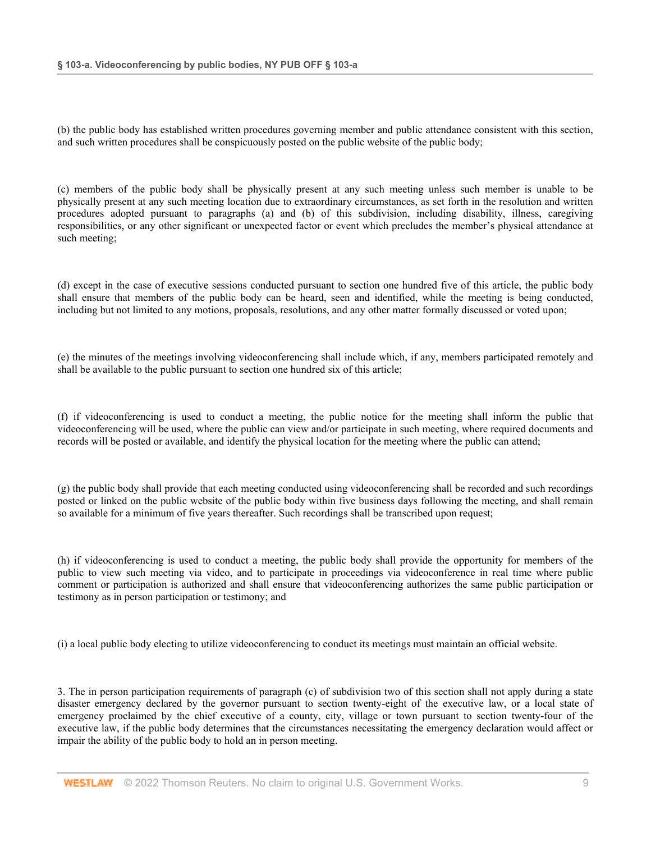(b) the public body has established written procedures governing member and public attendance consistent with this section, and such written procedures shall be conspicuously posted on the public website of the public body;

(c) members of the public body shall be physically present at any such meeting unless such member is unable to be physically present at any such meeting location due to extraordinary circumstances, as set forth in the resolution and written procedures adopted pursuant to paragraphs (a) and (b) of this subdivision, including disability, illness, caregiving responsibilities, or any other significant or unexpected factor or event which precludes the member's physical attendance at such meeting;

(d) except in the case of executive sessions conducted pursuant to section one hundred five of this article, the public body shall ensure that members of the public body can be heard, seen and identified, while the meeting is being conducted, including but not limited to any motions, proposals, resolutions, and any other matter formally discussed or voted upon;

(e) the minutes of the meetings involving videoconferencing shall include which, if any, members participated remotely and shall be available to the public pursuant to section one hundred six of this article;

(f) if videoconferencing is used to conduct a meeting, the public notice for the meeting shall inform the public that videoconferencing will be used, where the public can view and/or participate in such meeting, where required documents and records will be posted or available, and identify the physical location for the meeting where the public can attend;

(g) the public body shall provide that each meeting conducted using videoconferencing shall be recorded and such recordings posted or linked on the public website of the public body within five business days following the meeting, and shall remain so available for a minimum of five years thereafter. Such recordings shall be transcribed upon request;

(h) if videoconferencing is used to conduct a meeting, the public body shall provide the opportunity for members of the public to view such meeting via video, and to participate in proceedings via videoconference in real time where public comment or participation is authorized and shall ensure that videoconferencing authorizes the same public participation or testimony as in person participation or testimony; and

(i) a local public body electing to utilize videoconferencing to conduct its meetings must maintain an official website.

3. The in person participation requirements of paragraph (c) of subdivision two of this section shall not apply during a state disaster emergency declared by the governor pursuant to section twenty-eight of the executive law, or a local state of emergency proclaimed by the chief executive of a county, city, village or town pursuant to section twenty-four of the executive law, if the public body determines that the circumstances necessitating the emergency declaration would affect or impair the ability of the public body to hold an in person meeting.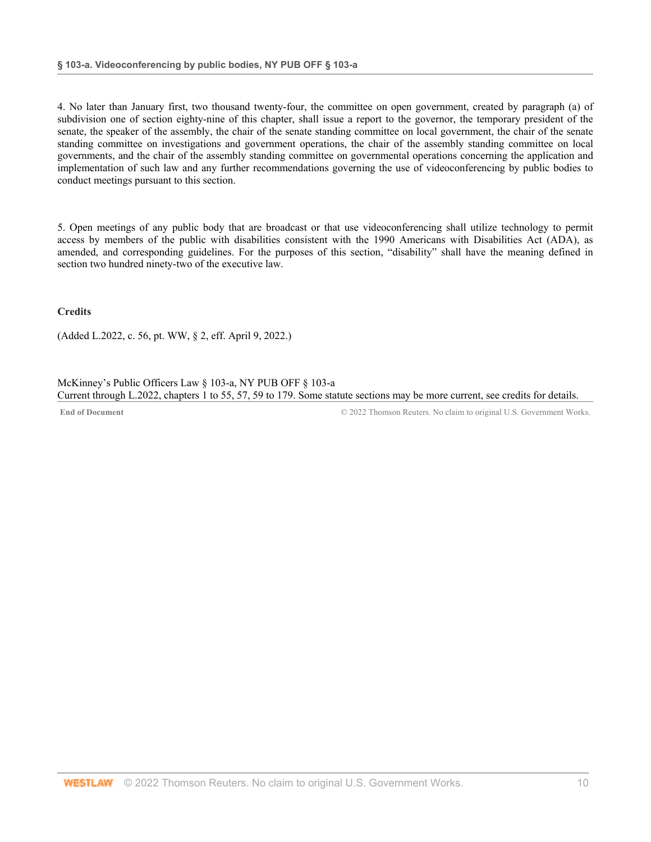4. No later than January first, two thousand twenty-four, the committee on open government, created by paragraph (a) of subdivision one of section eighty-nine of this chapter, shall issue a report to the governor, the temporary president of the senate, the speaker of the assembly, the chair of the senate standing committee on local government, the chair of the senate standing committee on investigations and government operations, the chair of the assembly standing committee on local governments, and the chair of the assembly standing committee on governmental operations concerning the application and implementation of such law and any further recommendations governing the use of videoconferencing by public bodies to conduct meetings pursuant to this section.

5. Open meetings of any public body that are broadcast or that use videoconferencing shall utilize technology to permit access by members of the public with disabilities consistent with the 1990 Americans with Disabilities Act (ADA), as amended, and corresponding guidelines. For the purposes of this section, "disability" shall have the meaning defined in section two hundred ninety-two of the executive law.

**Credits** 

(Added L.2022, c. 56, pt. WW, § 2, eff. April 9, 2022.)

McKinney's Public Officers Law § 103-a, NY PUB OFF § 103-a Current through L.2022, chapters 1 to 55, 57, 59 to 179. Some statute sections may be more current, see credits for details.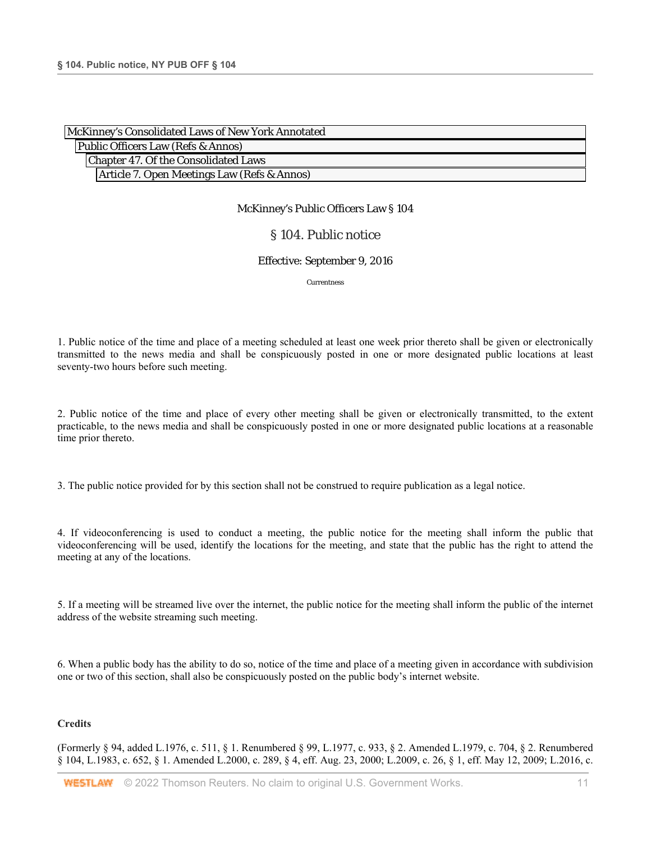| McKinney's Consolidated Laws of New York Annotated |  |
|----------------------------------------------------|--|
| Public Officers Law (Refs & Annos)                 |  |
| Chapter 47. Of the Consolidated Laws               |  |
| Article 7. Open Meetings Law (Refs & Annos)        |  |

## § 104. Public notice

#### Effective: September 9, 2016

Currentness

1. Public notice of the time and place of a meeting scheduled at least one week prior thereto shall be given or electronically transmitted to the news media and shall be conspicuously posted in one or more designated public locations at least seventy-two hours before such meeting.

2. Public notice of the time and place of every other meeting shall be given or electronically transmitted, to the extent practicable, to the news media and shall be conspicuously posted in one or more designated public locations at a reasonable time prior thereto.

3. The public notice provided for by this section shall not be construed to require publication as a legal notice.

4. If videoconferencing is used to conduct a meeting, the public notice for the meeting shall inform the public that videoconferencing will be used, identify the locations for the meeting, and state that the public has the right to attend the meeting at any of the locations.

5. If a meeting will be streamed live over the internet, the public notice for the meeting shall inform the public of the internet address of the website streaming such meeting.

6. When a public body has the ability to do so, notice of the time and place of a meeting given in accordance with subdivision one or two of this section, shall also be conspicuously posted on the public body's internet website.

#### **Credits**

(Formerly § 94, added L.1976, c. 511, § 1. Renumbered § 99, L.1977, c. 933, § 2. Amended L.1979, c. 704, § 2. Renumbered § 104, L.1983, c. 652, § 1. Amended L.2000, c. 289, § 4, eff. Aug. 23, 2000; L.2009, c. 26, § 1, eff. May 12, 2009; L.2016, c.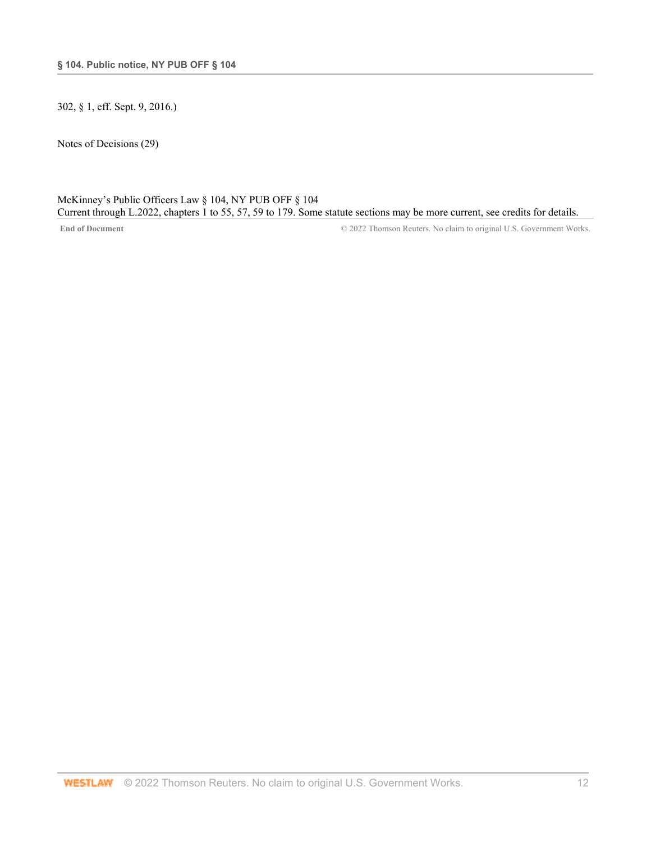302, § 1, eff. Sept. 9, 2016.)

Notes of Decisions (29)

## McKinney's Public Officers Law § 104, NY PUB OFF § 104 Current through L.2022, chapters 1 to 55, 57, 59 to 179. Some statute sections may be more current, see credits for details.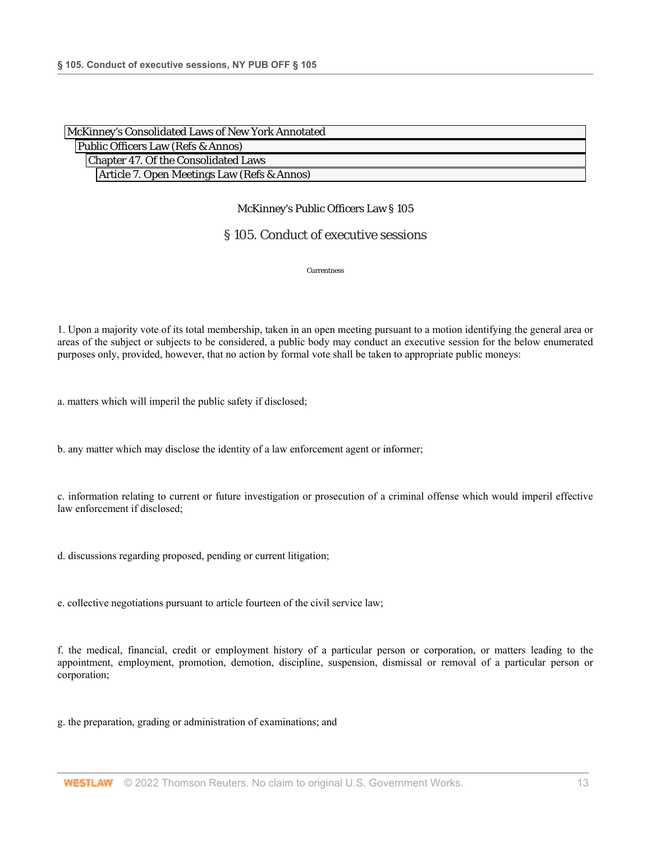| McKinney's Consolidated Laws of New York Annotated |
|----------------------------------------------------|
| Public Officers Law (Refs & Annos)                 |
| Chapter 47. Of the Consolidated Laws               |
| Article 7. Open Meetings Law (Refs & Annos)        |

# § 105. Conduct of executive sessions

Currentness

1. Upon a majority vote of its total membership, taken in an open meeting pursuant to a motion identifying the general area or areas of the subject or subjects to be considered, a public body may conduct an executive session for the below enumerated purposes only, provided, however, that no action by formal vote shall be taken to appropriate public moneys:

a. matters which will imperil the public safety if disclosed;

b. any matter which may disclose the identity of a law enforcement agent or informer;

c. information relating to current or future investigation or prosecution of a criminal offense which would imperil effective law enforcement if disclosed;

d. discussions regarding proposed, pending or current litigation;

e. collective negotiations pursuant to article fourteen of the civil service law;

f. the medical, financial, credit or employment history of a particular person or corporation, or matters leading to the appointment, employment, promotion, demotion, discipline, suspension, dismissal or removal of a particular person or corporation;

g. the preparation, grading or administration of examinations; and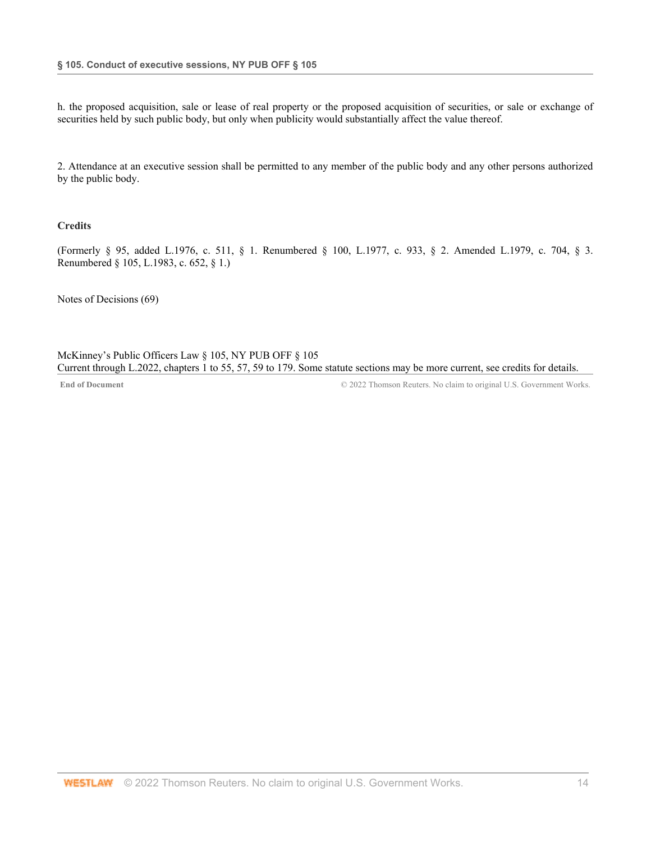h. the proposed acquisition, sale or lease of real property or the proposed acquisition of securities, or sale or exchange of securities held by such public body, but only when publicity would substantially affect the value thereof.

2. Attendance at an executive session shall be permitted to any member of the public body and any other persons authorized by the public body.

## **Credits**

(Formerly § 95, added L.1976, c. 511, § 1. Renumbered § 100, L.1977, c. 933, § 2. Amended L.1979, c. 704, § 3. Renumbered § 105, L.1983, c. 652, § 1.)

Notes of Decisions (69)

McKinney's Public Officers Law § 105, NY PUB OFF § 105 Current through L.2022, chapters 1 to 55, 57, 59 to 179. Some statute sections may be more current, see credits for details.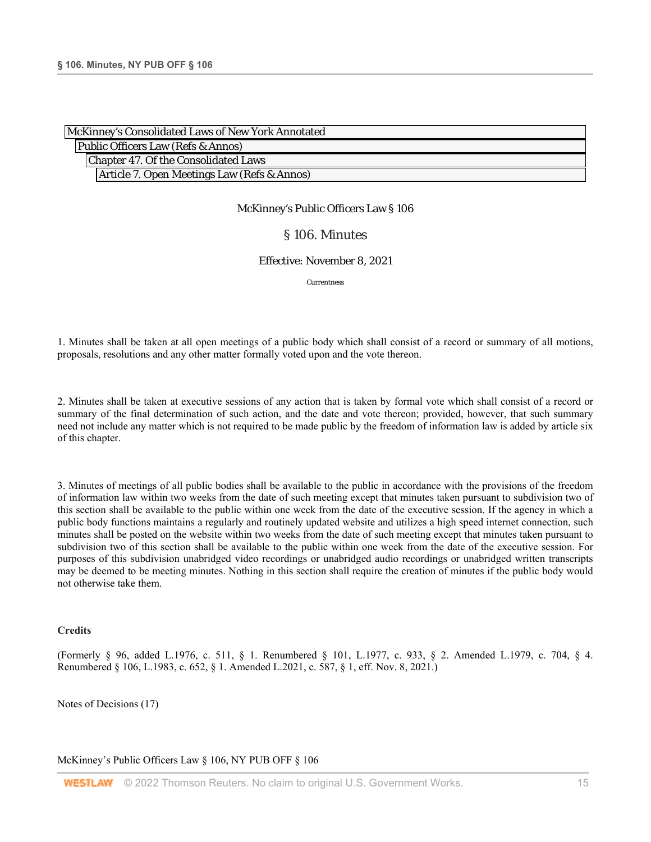| McKinney's Consolidated Laws of New York Annotated |  |
|----------------------------------------------------|--|
| Public Officers Law (Refs & Annos)                 |  |
| Chapter 47. Of the Consolidated Laws               |  |
| Article 7. Open Meetings Law (Refs & Annos)        |  |

## § 106. Minutes

#### Effective: November 8, 2021

Currentness

1. Minutes shall be taken at all open meetings of a public body which shall consist of a record or summary of all motions, proposals, resolutions and any other matter formally voted upon and the vote thereon.

2. Minutes shall be taken at executive sessions of any action that is taken by formal vote which shall consist of a record or summary of the final determination of such action, and the date and vote thereon; provided, however, that such summary need not include any matter which is not required to be made public by the freedom of information law is added by article six of this chapter.

3. Minutes of meetings of all public bodies shall be available to the public in accordance with the provisions of the freedom of information law within two weeks from the date of such meeting except that minutes taken pursuant to subdivision two of this section shall be available to the public within one week from the date of the executive session. If the agency in which a public body functions maintains a regularly and routinely updated website and utilizes a high speed internet connection, such minutes shall be posted on the website within two weeks from the date of such meeting except that minutes taken pursuant to subdivision two of this section shall be available to the public within one week from the date of the executive session. For purposes of this subdivision unabridged video recordings or unabridged audio recordings or unabridged written transcripts may be deemed to be meeting minutes. Nothing in this section shall require the creation of minutes if the public body would not otherwise take them.

#### **Credits**

(Formerly § 96, added L.1976, c. 511, § 1. Renumbered § 101, L.1977, c. 933, § 2. Amended L.1979, c. 704, § 4. Renumbered § 106, L.1983, c. 652, § 1. Amended L.2021, c. 587, § 1, eff. Nov. 8, 2021.)

Notes of Decisions (17)

McKinney's Public Officers Law § 106, NY PUB OFF § 106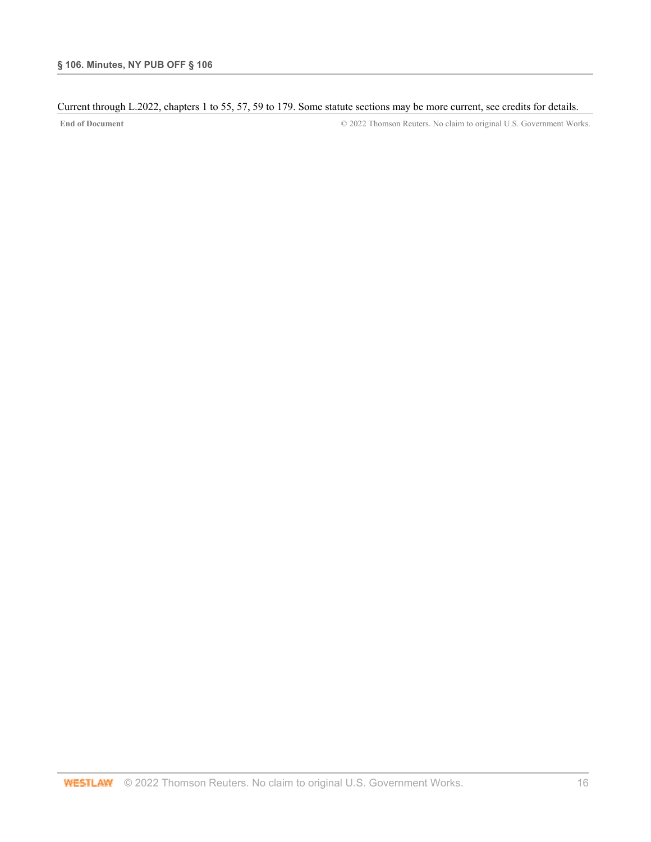## Current through L.2022, chapters 1 to 55, 57, 59 to 179. Some statute sections may be more current, see credits for details.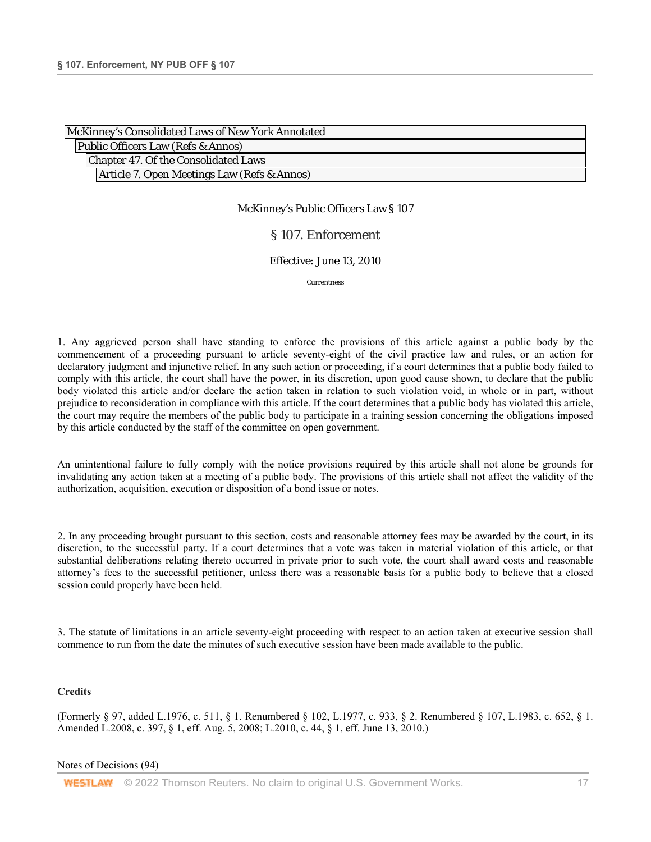| McKinney's Consolidated Laws of New York Annotated |
|----------------------------------------------------|
| Public Officers Law (Refs & Annos)                 |
| Chapter 47. Of the Consolidated Laws               |
| Article 7. Open Meetings Law (Refs & Annos)        |

## § 107. Enforcement

#### Effective: June 13, 2010

Currentness

1. Any aggrieved person shall have standing to enforce the provisions of this article against a public body by the commencement of a proceeding pursuant to article seventy-eight of the civil practice law and rules, or an action for declaratory judgment and injunctive relief. In any such action or proceeding, if a court determines that a public body failed to comply with this article, the court shall have the power, in its discretion, upon good cause shown, to declare that the public body violated this article and/or declare the action taken in relation to such violation void, in whole or in part, without prejudice to reconsideration in compliance with this article. If the court determines that a public body has violated this article, the court may require the members of the public body to participate in a training session concerning the obligations imposed by this article conducted by the staff of the committee on open government.

An unintentional failure to fully comply with the notice provisions required by this article shall not alone be grounds for invalidating any action taken at a meeting of a public body. The provisions of this article shall not affect the validity of the authorization, acquisition, execution or disposition of a bond issue or notes.

2. In any proceeding brought pursuant to this section, costs and reasonable attorney fees may be awarded by the court, in its discretion, to the successful party. If a court determines that a vote was taken in material violation of this article, or that substantial deliberations relating thereto occurred in private prior to such vote, the court shall award costs and reasonable attorney's fees to the successful petitioner, unless there was a reasonable basis for a public body to believe that a closed session could properly have been held.

3. The statute of limitations in an article seventy-eight proceeding with respect to an action taken at executive session shall commence to run from the date the minutes of such executive session have been made available to the public.

#### **Credits**

(Formerly § 97, added L.1976, c. 511, § 1. Renumbered § 102, L.1977, c. 933, § 2. Renumbered § 107, L.1983, c. 652, § 1. Amended L.2008, c. 397, § 1, eff. Aug. 5, 2008; L.2010, c. 44, § 1, eff. June 13, 2010.)

#### Notes of Decisions (94)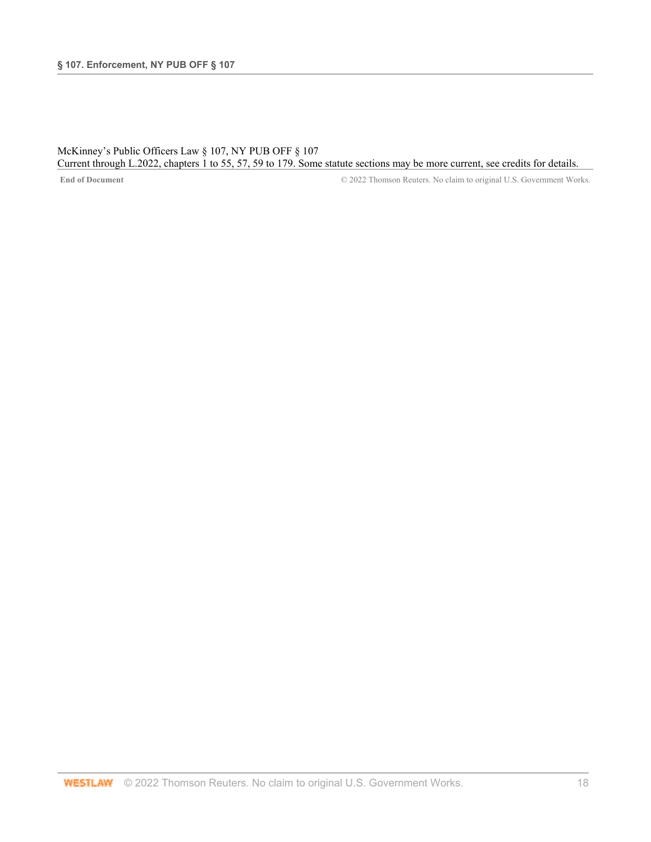## McKinney's Public Officers Law § 107, NY PUB OFF § 107 Current through L.2022, chapters 1 to 55, 57, 59 to 179. Some statute sections may be more current, see credits for details.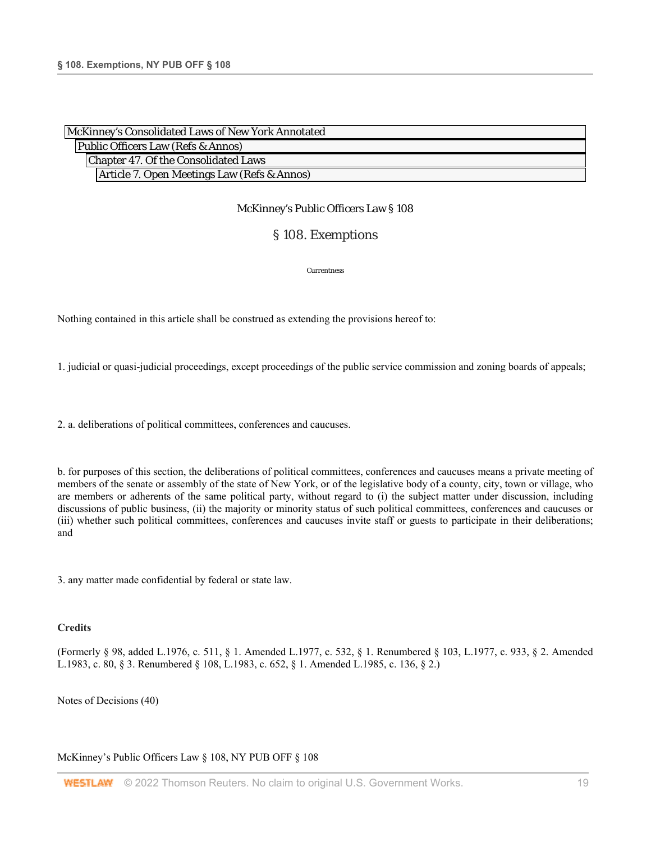| McKinney's Consolidated Laws of New York Annotated |  |
|----------------------------------------------------|--|
| Public Officers Law (Refs & Annos)                 |  |
| Chapter 47. Of the Consolidated Laws               |  |
| Article 7. Open Meetings Law (Refs & Annos)        |  |

## § 108. Exemptions

Currentness

Nothing contained in this article shall be construed as extending the provisions hereof to:

1. judicial or quasi-judicial proceedings, except proceedings of the public service commission and zoning boards of appeals;

2. a. deliberations of political committees, conferences and caucuses.

b. for purposes of this section, the deliberations of political committees, conferences and caucuses means a private meeting of members of the senate or assembly of the state of New York, or of the legislative body of a county, city, town or village, who are members or adherents of the same political party, without regard to (i) the subject matter under discussion, including discussions of public business, (ii) the majority or minority status of such political committees, conferences and caucuses or (iii) whether such political committees, conferences and caucuses invite staff or guests to participate in their deliberations; and

3. any matter made confidential by federal or state law.

#### **Credits**

(Formerly § 98, added L.1976, c. 511, § 1. Amended L.1977, c. 532, § 1. Renumbered § 103, L.1977, c. 933, § 2. Amended L.1983, c. 80, § 3. Renumbered § 108, L.1983, c. 652, § 1. Amended L.1985, c. 136, § 2.)

Notes of Decisions (40)

McKinney's Public Officers Law § 108, NY PUB OFF § 108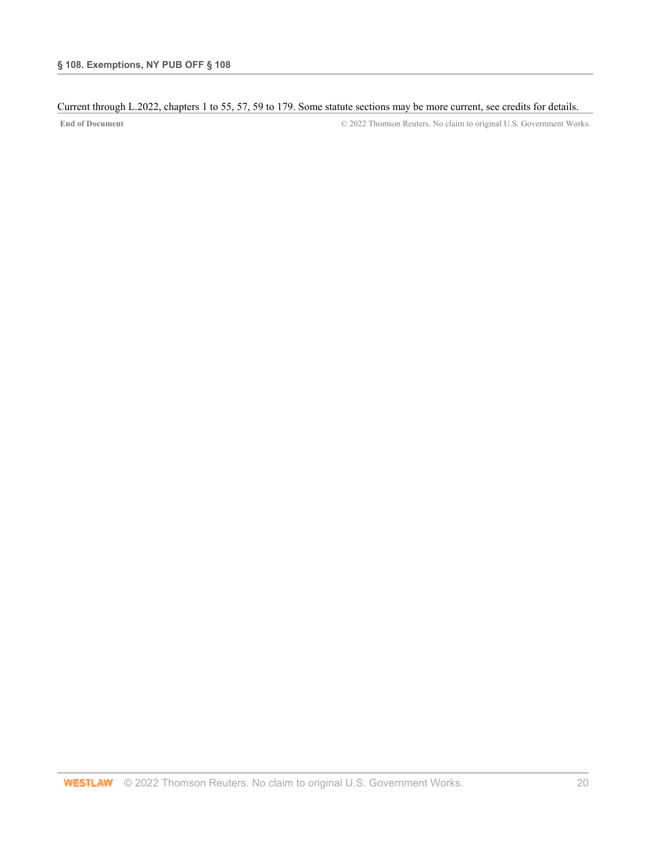## Current through L.2022, chapters 1 to 55, 57, 59 to 179. Some statute sections may be more current, see credits for details.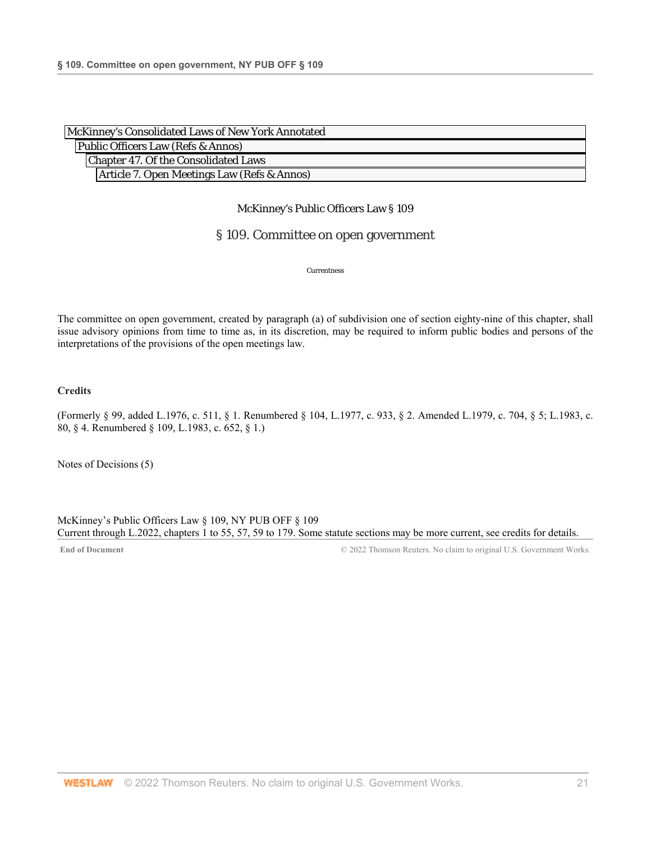| McKinney's Consolidated Laws of New York Annotated |  |
|----------------------------------------------------|--|
| Public Officers Law (Refs & Annos)                 |  |
| Chapter 47. Of the Consolidated Laws               |  |
| Article 7. Open Meetings Law (Refs & Annos)        |  |

## § 109. Committee on open government

Currentness

The committee on open government, created by paragraph (a) of subdivision one of section eighty-nine of this chapter, shall issue advisory opinions from time to time as, in its discretion, may be required to inform public bodies and persons of the interpretations of the provisions of the open meetings law.

## **Credits**

(Formerly § 99, added L.1976, c. 511, § 1. Renumbered § 104, L.1977, c. 933, § 2. Amended L.1979, c. 704, § 5; L.1983, c. 80, § 4. Renumbered § 109, L.1983, c. 652, § 1.)

Notes of Decisions (5)

McKinney's Public Officers Law § 109, NY PUB OFF § 109 Current through L.2022, chapters 1 to 55, 57, 59 to 179. Some statute sections may be more current, see credits for details.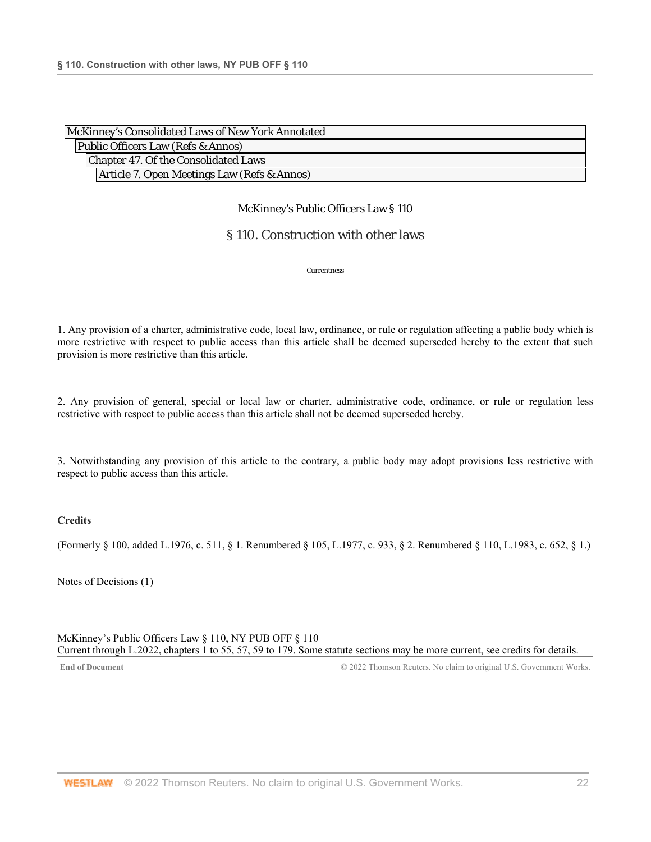| McKinney's Consolidated Laws of New York Annotated |  |
|----------------------------------------------------|--|
| Public Officers Law (Refs & Annos)                 |  |
| Chapter 47. Of the Consolidated Laws               |  |
| Article 7. Open Meetings Law (Refs & Annos)        |  |

## § 110. Construction with other laws

Currentness

1. Any provision of a charter, administrative code, local law, ordinance, or rule or regulation affecting a public body which is more restrictive with respect to public access than this article shall be deemed superseded hereby to the extent that such provision is more restrictive than this article.

2. Any provision of general, special or local law or charter, administrative code, ordinance, or rule or regulation less restrictive with respect to public access than this article shall not be deemed superseded hereby.

3. Notwithstanding any provision of this article to the contrary, a public body may adopt provisions less restrictive with respect to public access than this article.

## **Credits**

(Formerly § 100, added L.1976, c. 511, § 1. Renumbered § 105, L.1977, c. 933, § 2. Renumbered § 110, L.1983, c. 652, § 1.)

Notes of Decisions (1)

McKinney's Public Officers Law § 110, NY PUB OFF § 110 Current through L.2022, chapters 1 to 55, 57, 59 to 179. Some statute sections may be more current, see credits for details.